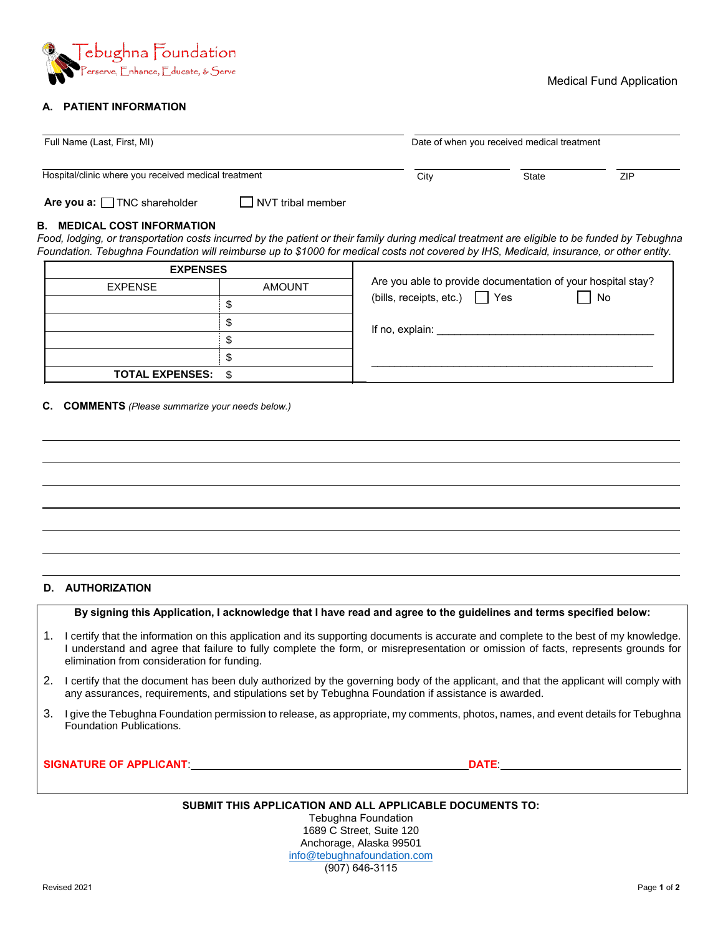

## **A. PATIENT INFORMATION**

| Full Name (Last, First, MI)<br>Hospital/clinic where you received medical treatment                                                                                                                                                                                                                                            |                          | Date of when you received medical treatment |              |            |
|--------------------------------------------------------------------------------------------------------------------------------------------------------------------------------------------------------------------------------------------------------------------------------------------------------------------------------|--------------------------|---------------------------------------------|--------------|------------|
|                                                                                                                                                                                                                                                                                                                                |                          | City                                        | <b>State</b> | <b>ZIP</b> |
| Are you a: TNC shareholder                                                                                                                                                                                                                                                                                                     | $\Box$ NVT tribal member |                                             |              |            |
| <b>B. MEDICAL COST INFORMATION</b><br>Food, lodging, or transportation costs incurred by the patient or their family during medical treatment are eligible to be funded by Tebughna<br>Foundation. Tebughna Foundation will reimburse up to \$1000 for medical costs not covered by IHS, Medicaid, insurance, or other entity. |                          |                                             |              |            |

| <b>EXPENSES</b>           |               |                                                              |  |
|---------------------------|---------------|--------------------------------------------------------------|--|
| <b>EXPENSE</b>            | <b>AMOUNT</b> | Are you able to provide documentation of your hospital stay? |  |
|                           |               | (bills, receipts, etc.) $\Box$ Yes<br>No                     |  |
|                           |               | If no, explain:                                              |  |
|                           |               |                                                              |  |
|                           |               |                                                              |  |
| <b>TOTAL EXPENSES: \$</b> |               |                                                              |  |

## **C. COMMENTS** *(Please summarize your needs below.)*

## **D. AUTHORIZATION**

|  |  |  | By signing this Application, I acknowledge that I have read and agree to the guidelines and terms specified below: |
|--|--|--|--------------------------------------------------------------------------------------------------------------------|
|--|--|--|--------------------------------------------------------------------------------------------------------------------|

- 1. I certify that the information on this application and its supporting documents is accurate and complete to the best of my knowledge. I understand and agree that failure to fully complete the form, or misrepresentation or omission of facts, represents grounds for elimination from consideration for funding.
- 2. I certify that the document has been duly authorized by the governing body of the applicant, and that the applicant will comply with any assurances, requirements, and stipulations set by Tebughna Foundation if assistance is awarded.
- 3. I give the Tebughna Foundation permission to release, as appropriate, my comments, photos, names, and event details for Tebughna Foundation Publications.

## **SIGNATURE OF APPLICANT**: **DATE**:

**SUBMIT THIS APPLICATION AND ALL APPLICABLE DOCUMENTS TO:**

Tebughna Foundation 1689 C Street, Suite 120 Anchorage, Alaska 99501 info@tebughnafoundation.com (907) 646-3115